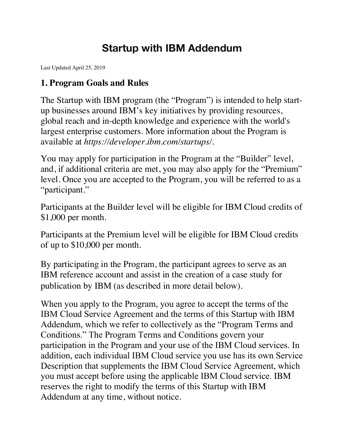# **Startup with IBM Addendum**

Last Updated April 25, 2019

#### **1. Program Goals and Rules**

The Startup with IBM program (the "Program") is intended to help startup businesses around IBM's key initiatives by providing resources, global reach and in-depth knowledge and experience with the world's largest enterprise customers. More information about the Program is available at *https://developer.ibm.com/startups/.*

You may apply for participation in the Program at the "Builder" level, and, if additional criteria are met, you may also apply for the "Premium" level. Once you are accepted to the Program, you will be referred to as a "participant."

Participants at the Builder level will be eligible for IBM Cloud credits of \$1,000 per month.

Participants at the Premium level will be eligible for IBM Cloud credits of up to \$10,000 per month.

By participating in the Program, the participant agrees to serve as an IBM reference account and assist in the creation of a case study for publication by IBM (as described in more detail below).

When you apply to the Program, you agree to accept the terms of the IBM Cloud Service Agreement and the terms of this Startup with IBM Addendum, which we refer to collectively as the "Program Terms and Conditions." The Program Terms and Conditions govern your participation in the Program and your use of the IBM Cloud services. In addition, each individual IBM Cloud service you use has its own Service Description that supplements the IBM Cloud Service Agreement, which you must accept before using the applicable IBM Cloud service. IBM reserves the right to modify the terms of this Startup with IBM Addendum at any time, without notice.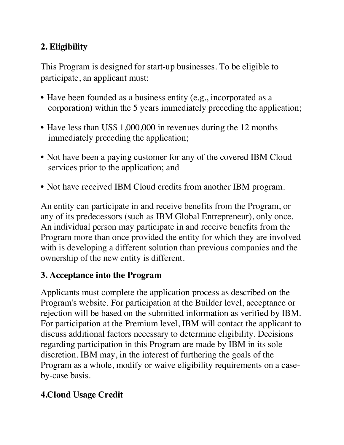## **2. Eligibility**

This Program is designed for start-up businesses. To be eligible to participate, an applicant must:

- Have been founded as a business entity (e.g., incorporated as a corporation) within the 5 years immediately preceding the application;
- Have less than US\$ 1,000,000 in revenues during the 12 months immediately preceding the application;
- Not have been a paying customer for any of the covered IBM Cloud services prior to the application; and
- Not have received IBM Cloud credits from another IBM program.

An entity can participate in and receive benefits from the Program, or any of its predecessors (such as IBM Global Entrepreneur), only once. An individual person may participate in and receive benefits from the Program more than once provided the entity for which they are involved with is developing a different solution than previous companies and the ownership of the new entity is different.

#### **3. Acceptance into the Program**

Applicants must complete the application process as described on the Program's website. For participation at the Builder level, acceptance or rejection will be based on the submitted information as verified by IBM. For participation at the Premium level, IBM will contact the applicant to discuss additional factors necessary to determine eligibility. Decisions regarding participation in this Program are made by IBM in its sole discretion. IBM may, in the interest of furthering the goals of the Program as a whole, modify or waive eligibility requirements on a caseby-case basis.

#### **4.Cloud Usage Credit**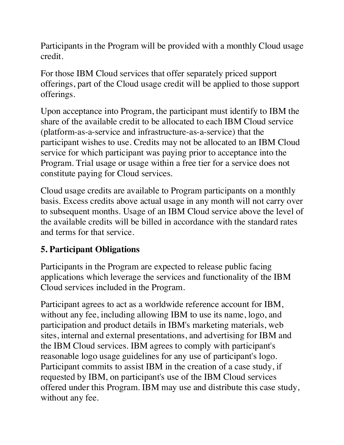Participants in the Program will be provided with a monthly Cloud usage credit.

For those IBM Cloud services that offer separately priced support offerings, part of the Cloud usage credit will be applied to those support offerings.

Upon acceptance into Program, the participant must identify to IBM the share of the available credit to be allocated to each IBM Cloud service (platform-as-a-service and infrastructure-as-a-service) that the participant wishes to use. Credits may not be allocated to an IBM Cloud service for which participant was paying prior to acceptance into the Program. Trial usage or usage within a free tier for a service does not constitute paying for Cloud services.

Cloud usage credits are available to Program participants on a monthly basis. Excess credits above actual usage in any month will not carry over to subsequent months. Usage of an IBM Cloud service above the level of the available credits will be billed in accordance with the standard rates and terms for that service.

#### **5. Participant Obligations**

Participants in the Program are expected to release public facing applications which leverage the services and functionality of the IBM Cloud services included in the Program.

Participant agrees to act as a worldwide reference account for IBM, without any fee, including allowing IBM to use its name, logo, and participation and product details in IBM's marketing materials, web sites, internal and external presentations, and advertising for IBM and the IBM Cloud services. IBM agrees to comply with participant's reasonable logo usage guidelines for any use of participant's logo. Participant commits to assist IBM in the creation of a case study, if requested by IBM, on participant's use of the IBM Cloud services offered under this Program. IBM may use and distribute this case study, without any fee.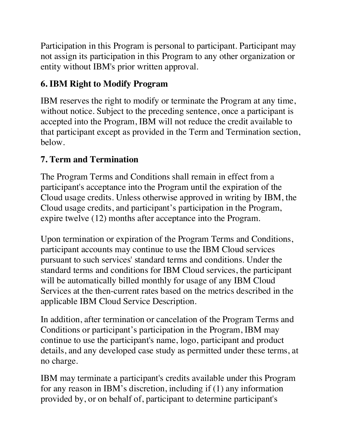Participation in this Program is personal to participant. Participant may not assign its participation in this Program to any other organization or entity without IBM's prior written approval.

#### **6. IBM Right to Modify Program**

IBM reserves the right to modify or terminate the Program at any time, without notice. Subject to the preceding sentence, once a participant is accepted into the Program, IBM will not reduce the credit available to that participant except as provided in the Term and Termination section, below.

## **7. Term and Termination**

The Program Terms and Conditions shall remain in effect from a participant's acceptance into the Program until the expiration of the Cloud usage credits. Unless otherwise approved in writing by IBM, the Cloud usage credits, and participant's participation in the Program, expire twelve (12) months after acceptance into the Program.

Upon termination or expiration of the Program Terms and Conditions, participant accounts may continue to use the IBM Cloud services pursuant to such services' standard terms and conditions. Under the standard terms and conditions for IBM Cloud services, the participant will be automatically billed monthly for usage of any IBM Cloud Services at the then-current rates based on the metrics described in the applicable IBM Cloud Service Description.

In addition, after termination or cancelation of the Program Terms and Conditions or participant's participation in the Program, IBM may continue to use the participant's name, logo, participant and product details, and any developed case study as permitted under these terms, at no charge.

IBM may terminate a participant's credits available under this Program for any reason in IBM's discretion, including if (1) any information provided by, or on behalf of, participant to determine participant's